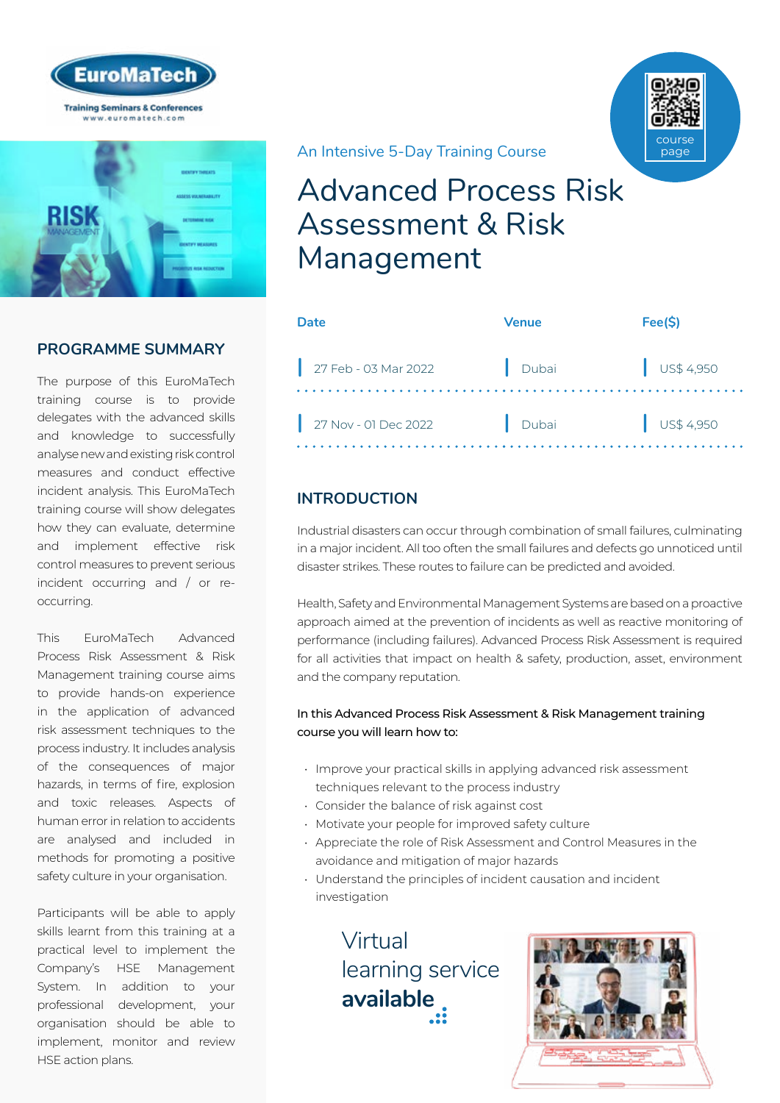

**PROGRAMME SUMMARY**

The purpose of this EuroMaTech training course is to provide delegates with the advanced skills and knowledge to successfully analyse new and existing risk control measures and conduct effective incident analysis. This EuroMaTech training course will show delegates how they can evaluate, determine and implement effective risk control measures to prevent serious incident occurring and / or reoccurring.

This EuroMaTech Advanced Process Risk Assessment & Risk Management training course aims to provide hands-on experience in the application of advanced risk assessment techniques to the process industry. It includes analysis of the consequences of major hazards, in terms of fire, explosion and toxic releases. Aspects of human error in relation to accidents are analysed and included in methods for promoting a positive safety culture in your organisation.

Participants will be able to apply skills learnt from this training at a practical level to implement the Company's HSE Management System. In addition to your professional development, your organisation should be able to implement, monitor and review HSE action plans.

An Intensive 5-Day Training Course

# Advanced Process Risk Assessment & Risk Management

| Date                 | <b>Venue</b> | Fee(S)               |
|----------------------|--------------|----------------------|
| 27 Feb - 03 Mar 2022 | Dubai        | $\bigcup$ US\$ 4,950 |
| 27 Nov - 01 Dec 2022 | Dubai        | $\bigcup$ US\$ 4,950 |

## **INTRODUCTION**

Industrial disasters can occur through combination of small failures, culminating in a major incident. All too often the small failures and defects go unnoticed until disaster strikes. These routes to failure can be predicted and avoided.

Health, Safety and Environmental Management Systems are based on a proactive approach aimed at the prevention of incidents as well as reactive monitoring of performance (including failures). Advanced Process Risk Assessment is required for all activities that impact on health & safety, production, asset, environment and the company reputation.

#### In this Advanced Process Risk Assessment & Risk Management training course you will learn how to:

- Improve your practical skills in applying advanced risk assessment techniques relevant to the process industry
- Consider the balance of risk against cost
- Motivate your people for improved safety culture
- Appreciate the role of Risk Assessment and Control Measures in the avoidance and mitigation of major hazards
- Understand the principles of incident causation and incident investigation

Virtual [learning service](https://www.euromatech.com/seminars/advanced-process-risk-assessment-risk-management-1/)  **available**



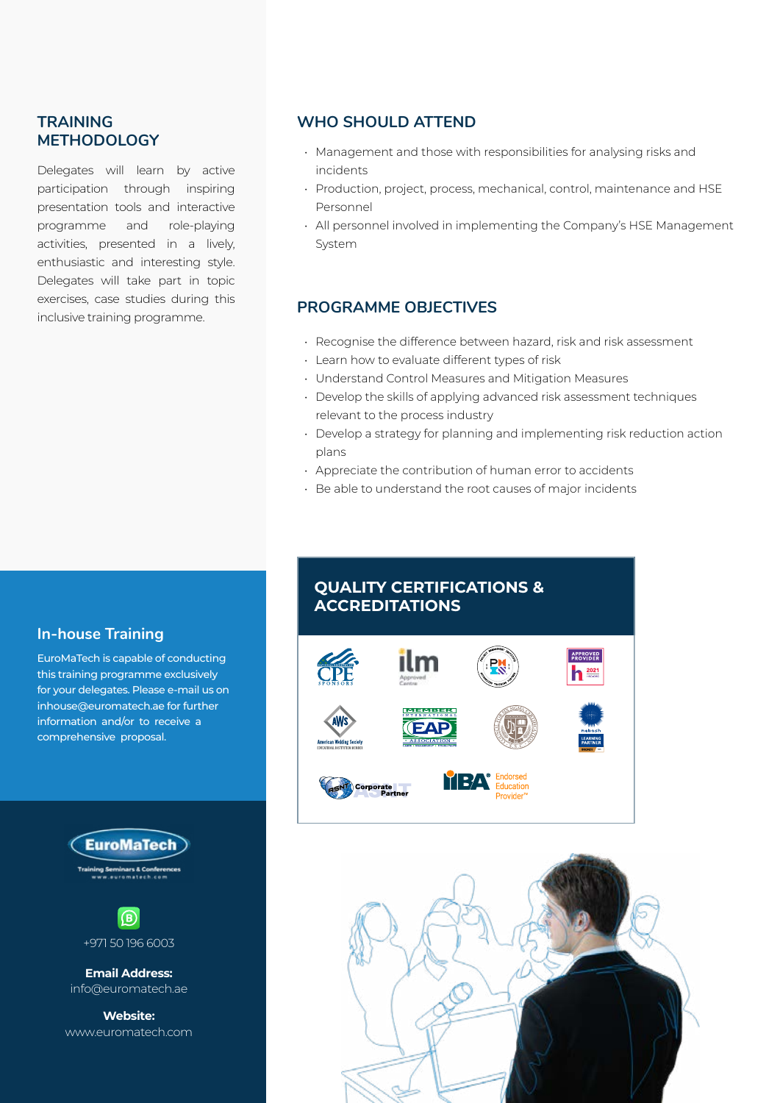### **TRAINING METHODOLOGY**

Delegates will learn by active participation through inspiring presentation tools and interactive programme and role-playing activities, presented in a lively, enthusiastic and interesting style. Delegates will take part in topic exercises, case studies during this inclusive training programme.

#### **WHO SHOULD ATTEND**

- Management and those with responsibilities for analysing risks and incidents
- Production, project, process, mechanical, control, maintenance and HSE Personnel
- All personnel involved in implementing the Company's HSE Management System

#### **PROGRAMME OBJECTIVES**

- Recognise the difference between hazard, risk and risk assessment
- Learn how to evaluate different types of risk
- Understand Control Measures and Mitigation Measures
- Develop the skills of applying advanced risk assessment techniques relevant to the process industry
- Develop a strategy for planning and implementing risk reduction action plans
- Appreciate the contribution of human error to accidents
- Be able to understand the root causes of major incidents

## **In-house Training**

EuroMaTech is capable of conducting this training programme exclusively for your delegates. Please e-mail us on inhouse@euromatech.ae for further information and/or to receive a comprehensive proposal.





**Email Address:** info@euromatech.ae

**Website:** www.euromatech.com

## **QUALITY CERTIFICATIONS & ACCREDITATIONS**



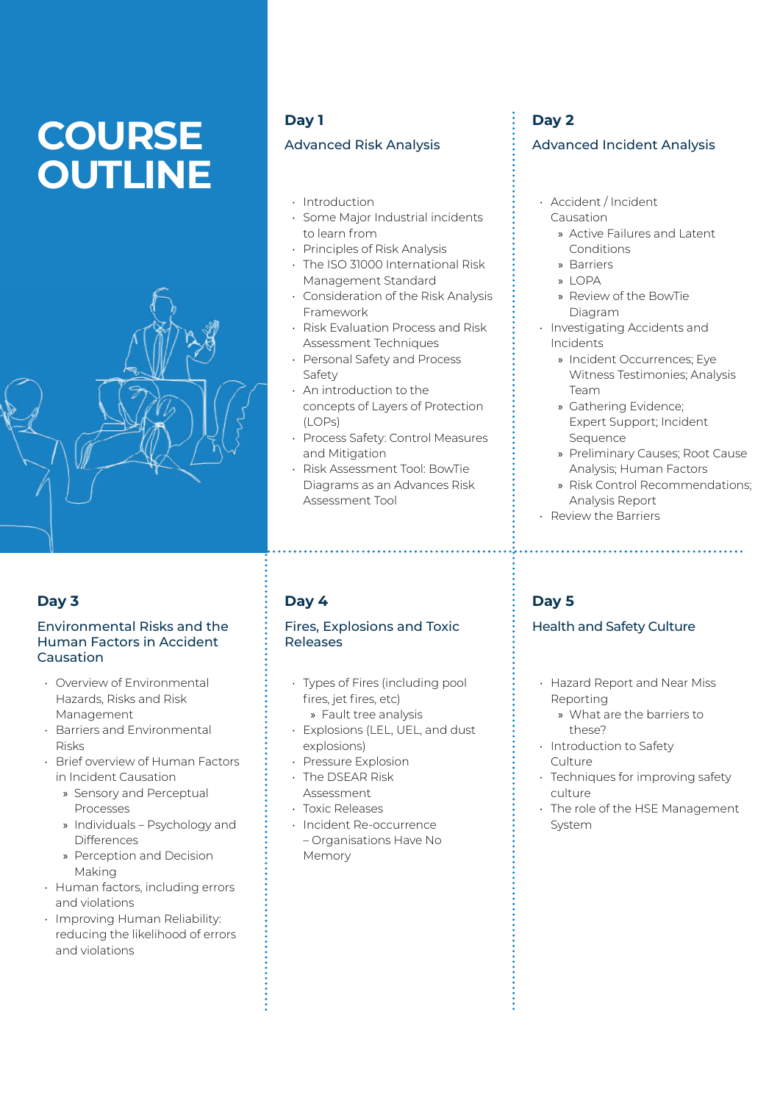# **COURSE OUTLINE**



## **Day 3**

#### Environmental Risks and the Human Factors in Accident Causation

- Overview of Environmental Hazards, Risks and Risk Management
- Barriers and Environmental Risks
- Brief overview of Human Factors in Incident Causation
	- » Sensory and Perceptual Processes
	- » Individuals Psychology and **Differences**
	- » Perception and Decision Making
- Human factors, including errors and violations
- Improving Human Reliability: reducing the likelihood of errors and violations

## **Day 1**

## Advanced Risk Analysis

- Introduction
- Some Major Industrial incidents to learn from
- Principles of Risk Analysis
- The ISO 31000 International Risk Management Standard
- Consideration of the Risk Analysis Framework
- Risk Evaluation Process and Risk Assessment Techniques
- Personal Safety and Process Safety
- An introduction to the concepts of Layers of Protection (LOPs)
- Process Safety: Control Measures and Mitigation
- Risk Assessment Tool: BowTie Diagrams as an Advances Risk Assessment Tool

## **Day 4**

#### Fires, Explosions and Toxic Releases

- Types of Fires (including pool fires, jet fires, etc) » Fault tree analysis
- Explosions (LEL, UEL, and dust explosions)
- Pressure Explosion
- The DSEAR Risk Assessment
- Toxic Releases
- Incident Re-occurrence – Organisations Have No Memory

## **Day 2**

#### Advanced Incident Analysis

- Accident / Incident Causation
	- » Active Failures and Latent Conditions
	- » Barriers
	- » LOPA
	- » Review of the BowTie Diagram
- Investigating Accidents and Incidents
	- » Incident Occurrences; Eye Witness Testimonies; Analysis Team
	- » Gathering Evidence; Expert Support; Incident Sequence
	- » Preliminary Causes; Root Cause Analysis; Human Factors
	- » Risk Control Recommendations; Analysis Report

• Review the Barriers

## **Day 5**

## Health and Safety Culture

- Hazard Report and Near Miss Reporting
	- » What are the barriers to these?
- Introduction to Safety **Culture**
- Techniques for improving safety culture
- The role of the HSE Management System